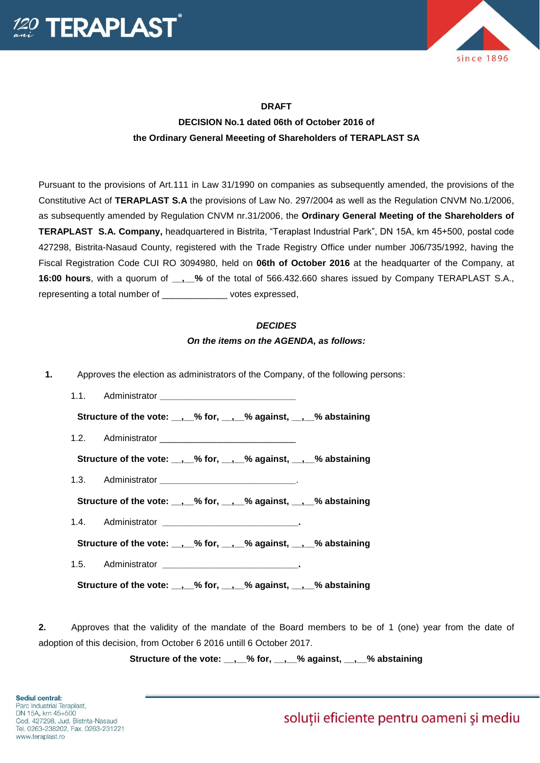



## **DRAFT**

## **DECISION No.1 dated 06th of October 2016 of the Ordinary General Meeeting of Shareholders of TERAPLAST SA**

Pursuant to the provisions of Art.111 in Law 31/1990 on companies as subsequently amended, the provisions of the Constitutive Act of **TERAPLAST S.A** the provisions of Law No. 297/2004 as well as the Regulation CNVM No.1/2006, as subsequently amended by Regulation CNVM nr.31/2006, the **Ordinary General Meeting of the Shareholders of TERAPLAST S.A. Company,** headquartered in Bistrita, "Teraplast Industrial Park", DN 15A, km 45+500, postal code 427298, Bistrita-Nasaud County, registered with the Trade Registry Office under number J06/735/1992, having the Fiscal Registration Code CUI RO 3094980, held on **06th of October 2016** at the headquarter of the Company, at **16:00 hours**, with a quorum of **\_\_,\_\_%** of the total of 566.432.660 shares issued by Company TERAPLAST S.A., representing a total number of  $\rule{1em}{0.15mm}$  votes expressed,

## *DECIDES*

## *On the items on the AGENDA, as follows:*

**1.** Approves the election as administrators of the Company, of the following persons: 1.1. Administrator **\_\_\_\_\_\_\_\_\_\_\_\_\_\_\_\_\_\_\_\_\_\_\_\_\_\_\_ Structure of the vote: \_\_,\_\_% for, \_\_,\_\_% against, \_\_,\_\_% abstaining** 1.2. Administrator **Structure of the vote: \_\_,\_\_% for, \_\_,\_\_% against, \_\_,\_\_% abstaining** 1.3. Administrator **\_\_\_\_\_\_\_\_\_\_\_\_\_\_\_\_\_\_\_\_\_\_\_\_\_\_\_**. Structure of the vote: . % for, . % against, . % abstaining 1.4. Administrator **\_\_\_\_\_\_\_\_\_\_\_\_\_\_\_\_\_\_\_\_\_\_\_\_\_\_\_. Structure of the vote: \_\_,\_\_% for, \_\_,\_\_% against, \_\_,\_\_% abstaining** 1.5. Administrator **\_\_\_\_\_\_\_\_\_\_\_\_\_\_\_\_\_\_\_\_\_\_\_\_\_\_\_. Structure of the vote: \_\_,\_\_% for, \_\_,\_\_% against, \_\_,\_\_% abstaining**

**2.** Approves that the validity of the mandate of the Board members to be of 1 (one) year from the date of adoption of this decision, from October 6 2016 untill 6 October 2017.

**Structure of the vote: \_\_,\_\_% for, \_\_,\_\_% against, \_\_,\_\_% abstaining**

solutii eficiente pentru oameni și mediu